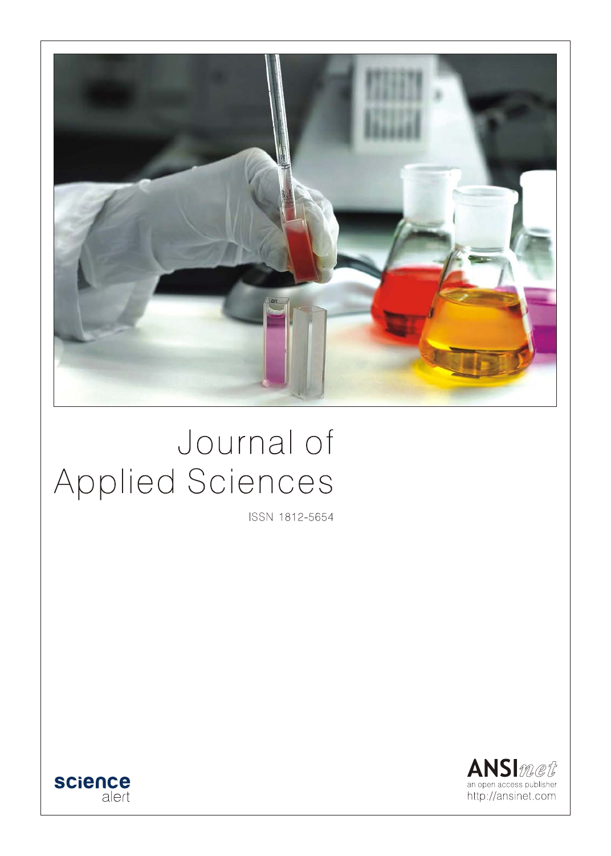

# Journal of Applied Sciences

ISSN 1812-5654



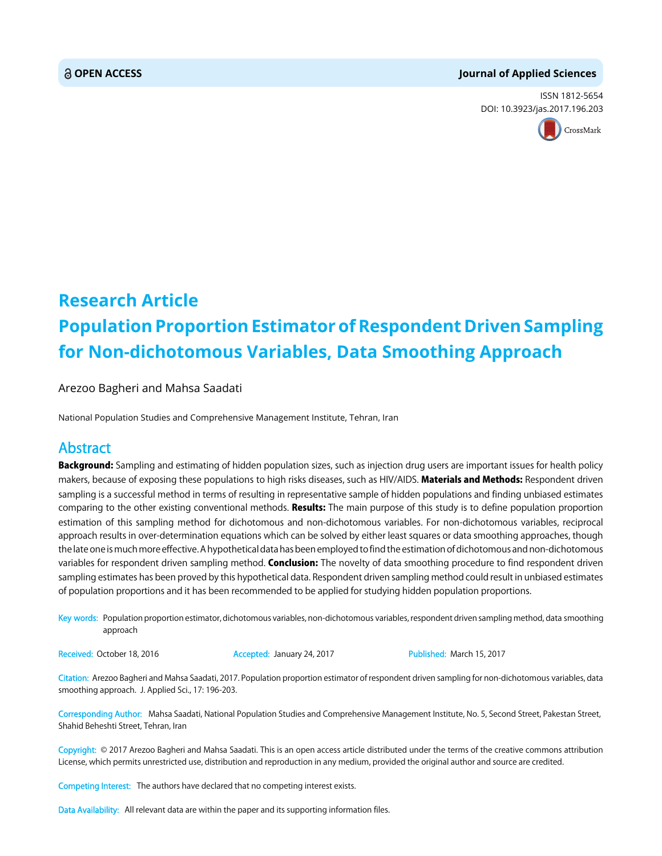#### **OPEN ACCESS Journal of Applied Sciences**

ISSN 1812-5654 DOI: 10.3923/jas.2017.196.203



## **Research Article Population Proportion Estimator of Respondent Driven Sampling for Non-dichotomous Variables, Data Smoothing Approach**

Arezoo Bagheri and Mahsa Saadati

National Population Studies and Comprehensive Management Institute, Tehran, Iran

### Abstract

Background: Sampling and estimating of hidden population sizes, such as injection drug users are important issues for health policy makers, because of exposing these populations to high risks diseases, such as HIV/AIDS. Materials and Methods: Respondent driven sampling is a successful method in terms of resulting in representative sample of hidden populations and finding unbiased estimates comparing to the other existing conventional methods. Results: The main purpose of this study is to define population proportion estimation of this sampling method for dichotomous and non-dichotomous variables. For non-dichotomous variables, reciprocal approach results in over-determination equations which can be solved by either least squares or data smoothing approaches, though the late one is much more effective. A hypothetical data has been employed to find the estimation of dichotomous and non-dichotomous variables for respondent driven sampling method. Conclusion: The novelty of data smoothing procedure to find respondent driven sampling estimates has been proved by this hypothetical data. Respondent driven sampling method could result in unbiased estimates of population proportions and it has been recommended to be applied for studying hidden population proportions.

Key words: Population proportion estimator, dichotomous variables, non-dichotomous variables, respondent driven sampling method, data smoothing approach

Received: October 18, 2016 **Accepted: January 24, 2017** Published: March 15, 2017

Citation: Arezoo Bagheri and Mahsa Saadati, 2017. Population proportion estimator of respondent driven sampling for non-dichotomous variables, data smoothing approach. J. Applied Sci., 17: 196-203.

Corresponding Author: Mahsa Saadati, National Population Studies and Comprehensive Management Institute, No. 5, Second Street, Pakestan Street, Shahid Beheshti Street, Tehran, Iran

Copyright: © 2017 Arezoo Bagheri and Mahsa Saadati. This is an open access article distributed under the terms of the creative commons attribution License, which permits unrestricted use, distribution and reproduction in any medium, provided the original author and source are credited.

Competing Interest: The authors have declared that no competing interest exists.

Data Availability: All relevant data are within the paper and its supporting information files.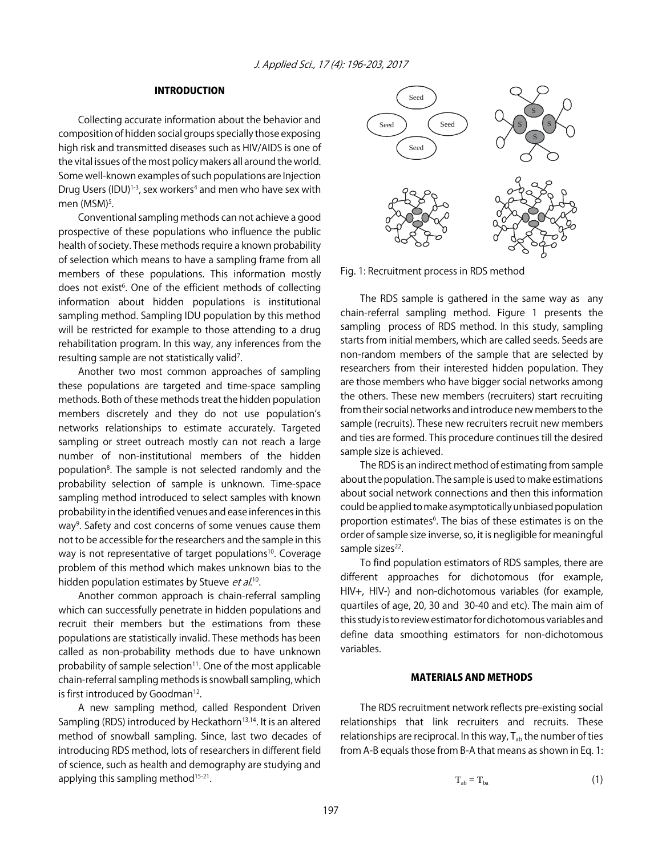#### INTRODUCTION

Collecting accurate information about the behavior and composition of hidden social groups specially those exposing high risk and transmitted diseases such as HIV/AIDS is one of the vital issues of the most policy makers all around the world. Some well-known examples of such populations are Injection Drug Users (IDU)<sup>1-3</sup>, sex workers<sup>4</sup> and men who have sex with men (MSM)<sup>5</sup>.

Conventional sampling methods can not achieve a good prospective of these populations who influence the public health of society. These methods require a known probability of selection which means to have a sampling frame from all members of these populations. This information mostly does not exist<sup>6</sup>. One of the efficient methods of collecting information about hidden populations is institutional sampling method. Sampling IDU population by this method will be restricted for example to those attending to a drug rehabilitation program. In this way, any inferences from the resulting sample are not statistically valid<sup>7</sup>.

Another two most common approaches of sampling these populations are targeted and time-space sampling methods. Both of these methods treat the hidden population members discretely and they do not use population's networks relationships to estimate accurately. Targeted sampling or street outreach mostly can not reach a large number of non-institutional members of the hidden population<sup>8</sup>. The sample is not selected randomly and the probability selection of sample is unknown. Time-space sampling method introduced to select samples with known probability in the identified venues and ease inferences in this way<sup>9</sup>. Safety and cost concerns of some venues cause them not to be accessible for the researchers and the sample in this way is not representative of target populations<sup>10</sup>. Coverage problem of this method which makes unknown bias to the hidden population estimates by Stueve et al.<sup>10</sup>.

Another common approach is chain-referral sampling which can successfully penetrate in hidden populations and recruit their members but the estimations from these populations are statistically invalid. These methods has been called as non-probability methods due to have unknown probability of sample selection $11$ . One of the most applicable chain-referral sampling methods is snowball sampling, which is first introduced by Goodman<sup>12</sup>.

A new sampling method, called Respondent Driven Sampling (RDS) introduced by Heckathorn<sup>13,14</sup>. It is an altered method of snowball sampling. Since, last two decades of introducing RDS method, lots of researchers in different field of science, such as health and demography are studying and applying this sampling method<sup>15-21</sup>.



Fig. 1: Recruitment process in RDS method

The RDS sample is gathered in the same way as any chain-referral sampling method. Figure 1 presents the sampling process of RDS method. In this study, sampling starts from initial members, which are called seeds. Seeds are non-random members of the sample that are selected by researchers from their interested hidden population. They are those members who have bigger social networks among the others. These new members (recruiters) start recruiting from their social networks and introduce new members to the sample (recruits). These new recruiters recruit new members and ties are formed. This procedure continues till the desired sample size is achieved.

The RDS is an indirect method of estimating from sample about the population. The sample is used to make estimations about social network connections and then this information could be applied to make asymptotically unbiased population proportion estimates<sup>6</sup>. The bias of these estimates is on the order of sample size inverse, so, it is negligible for meaningful sample sizes<sup>22</sup>.

To find population estimators of RDS samples, there are different approaches for dichotomous (for example, HIV+, HIV-) and non-dichotomous variables (for example, quartiles of age, 20, 30 and 30-40 and etc). The main aim of this study is to review estimator for dichotomous variables and define data smoothing estimators for non-dichotomous variables.

#### MATERIALS AND METHODS

The RDS recruitment network reflects pre-existing social relationships that link recruiters and recruits. These relationships are reciprocal. In this way,  $T_{ab}$  the number of ties from A-B equals those from B-A that means as shown in Eq. 1:

$$
T_{ab} = T_{ba} \tag{1}
$$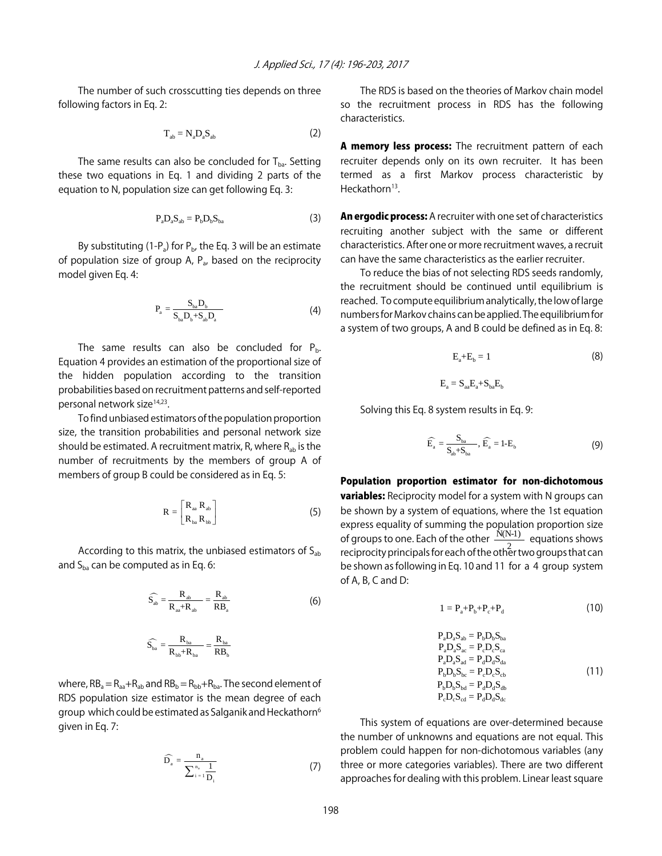The number of such crosscutting ties depends on three following factors in Eq. 2:

$$
T_{ab} = N_a D_a S_{ab} \tag{2}
$$

The same results can also be concluded for  $T_{ba}$ . Setting these two equations in Eq. 1 and dividing 2 parts of the equation to N, population size can get following Eq. 3:

$$
P_a D_a S_{ab} = P_b D_b S_{ba} \tag{3}
$$

By substituting (1-P<sub>a</sub>) for P<sub>b</sub>, the Eq. 3 will be an estimate of population size of group A,  $P_a$ , based on the reciprocity model given Eq. 4:

$$
P_{a} = \frac{S_{ba}D_{b}}{S_{ba}D_{b} + S_{ab}D_{a}}
$$
 (4)

The same results can also be concluded for  $P_{b}$ . Equation 4 provides an estimation of the proportional size of the hidden population according to the transition probabilities based on recruitment patterns and self-reported personal network size<sup>14,23</sup>.

To find unbiased estimators of the population proportion size, the transition probabilities and personal network size should be estimated. A recruitment matrix, R, where  $R_{ab}$  is the number of recruitments by the members of group A of members of group B could be considered as in Eq. 5:

$$
R = \begin{bmatrix} R_{aa} & R_{ab} \\ R_{ba} & R_{bb} \end{bmatrix} \tag{5}
$$

According to this matrix, the unbiased estimators of  $S_{ab}$ and  $S_{ba}$  can be computed as in Eq. 6:

$$
\widehat{S_{ab}} = \frac{R_{ab}}{R_{aa} + R_{ab}} = \frac{R_{ab}}{RB_a}
$$
\n(6)

$$
\widehat{S_{\scriptscriptstyle{ba}}} = \frac{R_{\scriptscriptstyle{ba}}}{R_{\scriptscriptstyle{bb}} + R_{\scriptscriptstyle{ba}}} = \frac{R_{\scriptscriptstyle{ba}}}{RB_{\scriptscriptstyle{b}}}
$$

where,  $RB_a = R_{aa} + R_{ab}$  and  $RB_b = R_{bb} + R_{ba}$ . The second element of RDS population size estimator is the mean degree of each group which could be estimated as Salganik and Heckathorn<sup>6</sup> given in Eq. 7:

$$
\widehat{D}_{a} = \frac{n_{a}}{\sum_{i=1}^{n_{a}} \frac{1}{D_{i}}} \tag{7}
$$

The RDS is based on the theories of Markov chain model so the recruitment process in RDS has the following characteristics.

A memory less process: The recruitment pattern of each recruiter depends only on its own recruiter. It has been termed as a first Markov process characteristic by Heckathorn $13$ .

An ergodic process: A recruiter with one set of characteristics recruiting another subject with the same or different characteristics. After one or more recruitment waves, a recruit can have the same characteristics as the earlier recruiter.

To reduce the bias of not selecting RDS seeds randomly, the recruitment should be continued until equilibrium is reached. To compute equilibrium analytically, the low of large numbers for Markov chains can be applied. The equilibrium for a system of two groups, A and B could be defined as in Eq. 8:

$$
E_a + E_b = 1 \tag{8}
$$

$$
E_a = S_{aa}E_a + S_{ba}E_b
$$

Solving this Eq. 8 system results in Eq. 9:

$$
\widehat{E_a} = \frac{S_{ba}}{S_{ab} + S_{ba}}, \widehat{E_a} = 1 - E_b
$$
\n(9)

Population proportion estimator for non-dichotomous **variables:** Reciprocity model for a system with N groups can be shown by a system of equations, where the 1st equation express equality of summing the population proportion size of groups to one. Each of the other  $\frac{N(N-1)}{N(N-1)}$  equations shows reciprocity principals for each of the other two groups that can be shown as following in Eq. 10 and 11 for a 4 group system of A, B, C and D:

$$
1 = P_a + P_b + P_c + P_d \tag{10}
$$

$$
P_a D_a S_{ab} = P_b D_b S_{ba}
$$
  
\n
$$
P_a D_a S_{ac} = P_c D_c S_{ca}
$$
  
\n
$$
P_a D_a S_{ad} = P_d D_d S_{da}
$$
  
\n
$$
P_b D_b S_{bc} = P_c D_c S_{cb}
$$
  
\n
$$
P_b D_b S_{bd} = P_d D_d S_{db}
$$
  
\n
$$
P_c D_c S_{cd} = P_d D_d S_{dc}
$$
\n(11)

This system of equations are over-determined because the number of unknowns and equations are not equal. This problem could happen for non-dichotomous variables (any three or more categories variables). There are two different approaches for dealing with this problem. Linear least square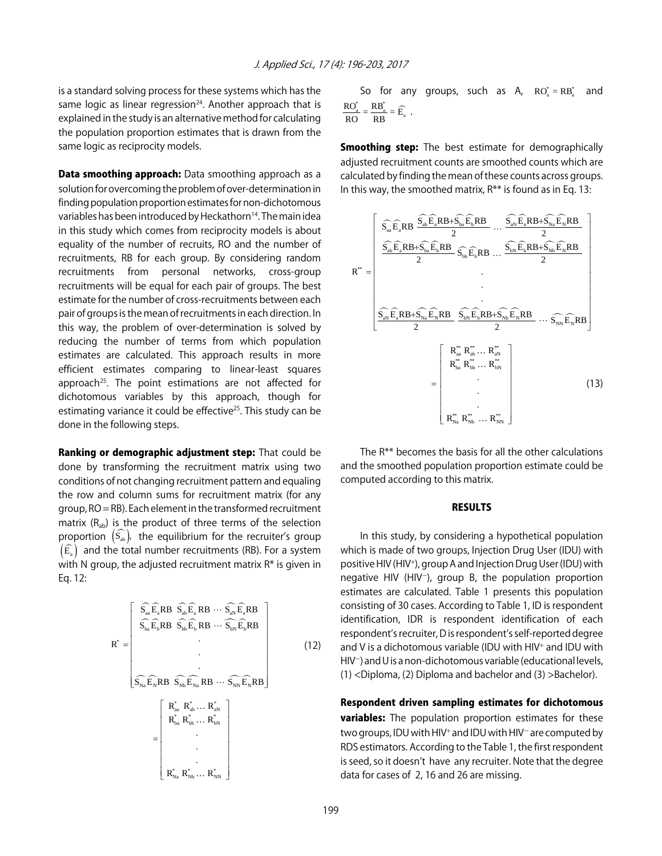is a standard solving process for these systems which has the same logic as linear regression $24$ . Another approach that is explained in the study is an alternative method for calculating the population proportion estimates that is drawn from the same logic as reciprocity models.

**Data smoothing approach:** Data smoothing approach as a solution for overcoming the problem of over-determination in finding population proportion estimates for non-dichotomous variables has been introduced by Heckathorn<sup>14</sup>. The main idea in this study which comes from reciprocity models is about equality of the number of recruits, RO and the number of recruitments, RB for each group. By considering random recruitments from personal networks, cross-group recruitments will be equal for each pair of groups. The best estimate for the number of cross-recruitments between each pair of groups is the mean of recruitments in each direction. In this way, the problem of over-determination is solved by reducing the number of terms from which population estimates are calculated. This approach results in more efficient estimates comparing to linear-least squares approach<sup>25</sup>. The point estimations are not affected for dichotomous variables by this approach, though for estimating variance it could be effective<sup>25</sup>. This study can be done in the following steps.

Ranking or demographic adjustment step: That could be done by transforming the recruitment matrix using two conditions of not changing recruitment pattern and equaling the row and column sums for recruitment matrix (for any group, RO = RB). Each element in the transformed recruitment matrix  $(R_{ab})$  is the product of three terms of the selection proportion  $\left(\widehat{S_{ab}}\right)$ , the equilibrium for the recruiter's group  $\left(\widehat{\mathrm{E}_\mathrm{a}}\right)$  and the total number recruitments (RB). For a system with N group, the adjusted recruitment matrix  $R^*$  is given in Eq. 12:

$$
R^* = \begin{bmatrix} S_{aa} \widehat{E}_a R B & S_{ab} \widehat{E}_a R B & \cdots & S_{aN} \widehat{E}_a R B \\ S_{ba} \widehat{E}_b R B & S_{bb} \widehat{E}_b R B & \cdots & S_{bN} \widehat{E}_b R B \\ & \ddots & \ddots & \vdots \\ \vdots & \ddots & \ddots & \vdots \\ S_{Na} \widehat{E}_N R B & S_{Nb} \widehat{E}_{Na} R B & \cdots & S_{NN} \widehat{E}_N R B \\ & \ddots & \ddots & \vdots \\ R^*_{ba} R^*_{ab} \cdots & R^*_{bN} \\ & \ddots & \vdots \\ R^*_{Na} R^*_{Nb} \cdots & R^*_{NN} \end{bmatrix} \tag{12}
$$

So for any groups, such as A, 
$$
RO_a^* = RB_a^*
$$
 and  $\frac{RO_a^*}{RO} = \frac{RB_a^*}{RB} = \widehat{E_a}$ .

**Smoothing step:** The best estimate for demographically adjusted recruitment counts are smoothed counts which are calculated by finding the mean of these counts across groups. In this way, the smoothed matrix,  $R^{**}$  is found as in Eq. 13:

$$
R^{*} = \begin{bmatrix} \widehat{S_{aa}}\widehat{E_{a}}RB + \widehat{S_{ab}}\widehat{E_{a}}RB + \widehat{S_{ba}}\widehat{E_{b}}RB \cdots \frac{\widehat{S_{aN}}\widehat{E_{a}}RB + \widehat{S_{Na}}\widehat{E_{N}}RB}{2} \\ \frac{\widehat{S_{ab}}\widehat{E_{a}}RB + \widehat{S_{ba}}\widehat{E_{b}}RB}{2} \widehat{S_{bb}}\widehat{E_{b}}RB \cdots \frac{\widehat{S_{bn}}\widehat{E_{b}}RB + \widehat{S_{Nb}}\widehat{E_{N}}RB}{2} \\ \vdots \\ \frac{\widehat{S_{aN}}\widehat{E_{a}}RB + \widehat{S_{Na}}\widehat{E_{N}}RB}{2} \frac{\widehat{S_{bn}}\widehat{E_{b}}RB + \widehat{S_{nb}}\widehat{E_{N}}RB}{2} \cdots \widehat{S_{NN}}\widehat{E_{N}}RB}{2} \\ \hline \end{bmatrix}
$$
\n
$$
R^{**}_{ba} R^{**}_{bb} \cdots R^{**}_{ab}
$$
\n
$$
= \begin{bmatrix} R^{**}_{aa} R^{**}_{ab} \cdots R^{**}_{aN} \\ R^{**}_{ba} R^{**}_{bb} \cdots R^{**}_{NN} \\ \vdots \\ R^{**}_{Na} R^{**}_{Nb} \cdots R^{**}_{NN} \end{bmatrix}
$$
\n(13)

The R\*\* becomes the basis for all the other calculations and the smoothed population proportion estimate could be computed according to this matrix.

#### RESULTS

In this study, by considering a hypothetical population which is made of two groups, Injection Drug User (IDU) with positive HIV (HIV<sup>+</sup>), group A and Injection Drug User (IDU) with negative HIV (HIV $^{-}$ ), group B, the population proportion estimates are calculated. Table 1 presents this population consisting of 30 cases. According to Table 1, ID is respondent identification, IDR is respondent identification of each respondent's recruiter, D is respondent's self-reported degree and V is a dichotomous variable (IDU with HIV<sup>+</sup> and IDU with  $HIV^-$ ) and U is a non-dichotomous variable (educational levels, (1) <Diploma, (2) Diploma and bachelor and (3) >Bachelor).

Respondent driven sampling estimates for dichotomous **variables:** The population proportion estimates for these two groups, IDU with HIV<sup>+</sup> and IDU with HIV<sup>-</sup> are computed by RDS estimators. According to the Table 1, the first respondent is seed, so it doesn't have any recruiter. Note that the degree data for cases of 2, 16 and 26 are missing.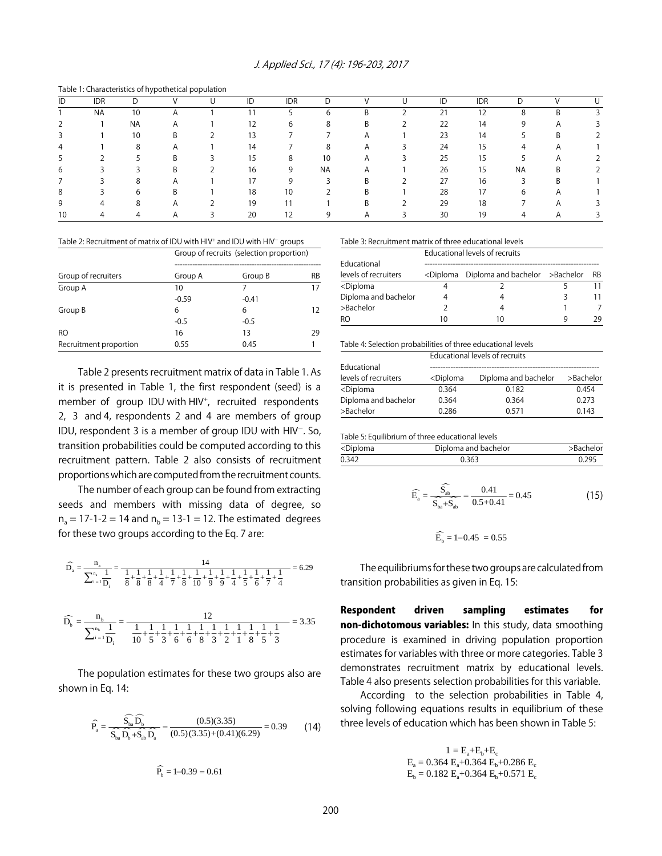|    |            |           | asia il characteristics of hypothetical population |    |            |           |                |    |            |           |                       |  |
|----|------------|-----------|----------------------------------------------------|----|------------|-----------|----------------|----|------------|-----------|-----------------------|--|
| ID | <b>IDR</b> |           |                                                    | ID | <b>IDR</b> |           |                | ID | <b>IDR</b> |           |                       |  |
|    | <b>NA</b>  | 10        |                                                    |    |            | h         | B              | 21 | 12         |           |                       |  |
|    |            | <b>NA</b> | $\mathsf{A}$                                       | 12 | h          | 8         | B              | 22 | 14         |           | $\mathbf{\mathsf{m}}$ |  |
|    |            | 10        | Β                                                  | 13 |            |           | A              | 23 | 14         |           | B                     |  |
| 4  |            | 8         | A                                                  | 14 |            | 8         | $\overline{A}$ | 24 | 15         |           |                       |  |
|    |            |           | B                                                  | 15 | 8          | 10        | $\overline{A}$ | 25 | 15         |           |                       |  |
| b  |            |           | Β                                                  | 16 | 9          | <b>NA</b> | A              | 26 | 15         | <b>NA</b> | B                     |  |
|    |            | 8         | A                                                  | 17 |            |           | B              | 27 | 16         |           | В                     |  |
| ŏ  |            | 6         | B                                                  | 18 | 10         |           | B              | 28 | 17         | 6         |                       |  |
| 9  |            |           | A                                                  | 19 |            |           | B              | 29 | 18         |           |                       |  |
|    |            |           | A                                                  | 20 |            |           |                | 30 | 19         |           |                       |  |

Table 1: Characteristics of hypothetical population

Table 2: Recruitment of matrix of IDU with HIV<sup>+</sup> and IDU with HIV<sup>-</sup> groups

|                        | Group of recruits (selection proportion) |         |    |  |  |
|------------------------|------------------------------------------|---------|----|--|--|
| Group of recruiters    | Group A                                  | Group B | RB |  |  |
| Group A                | 10                                       |         | 17 |  |  |
|                        | $-0.59$                                  | $-0.41$ |    |  |  |
| Group B                | 6                                        | 6       | 12 |  |  |
|                        | $-0.5$                                   | $-0.5$  |    |  |  |
| RO.                    | 16                                       | 13      | 29 |  |  |
| Recruitment proportion | 0.55                                     | 0.45    |    |  |  |

Table 2 presents recruitment matrix of data in Table 1. As it is presented in Table 1, the first respondent (seed) is a member of group IDU with HIV<sup>+</sup>, recruited respondents 2, 3 and 4, respondents 2 and 4 are members of group IDU, respondent 3 is a member of group IDU with  $HIV^-$ . So, transition probabilities could be computed according to this recruitment pattern. Table 2 also consists of recruitment proportions which are computed from the recruitment counts.

The number of each group can be found from extracting seeds and members with missing data of degree, so  $n_a = 17 - 1 - 2 = 14$  and  $n_b = 13 - 1 = 12$ . The estimated degrees for these two groups according to the Eq. 7 are:

$$
\widehat{D_a} = \frac{n_a}{\sum_{i=1}^{n_a} \frac{1}{D_i}} = \frac{14}{\frac{1}{8} + \frac{1}{8} + \frac{1}{8} + \frac{1}{4} + \frac{1}{7} + \frac{1}{8} + \frac{1}{10} + \frac{1}{9} + \frac{1}{9} + \frac{1}{4} + \frac{1}{5} + \frac{1}{6} + \frac{1}{7} + \frac{1}{4}} = 6.29
$$

$$
\widehat{D_b}=\frac{n_b}{\sum_{i=1}^{n_b}\frac{1}{D_i}}=\frac{12}{\frac{1}{10}+\frac{1}{5}+\frac{1}{3}+\frac{1}{6}+\frac{1}{6}+\frac{1}{8}+\frac{1}{3}+\frac{1}{2}+\frac{1}{1}+\frac{1}{8}+\frac{1}{5}+\frac{1}{3}}=3.35
$$

The population estimates for these two groups also are shown in Eq. 14:

$$
\widehat{P}_a = \frac{\widehat{S_{ba}} \widehat{D_b}}{\widehat{S_{ba}} \widehat{D_b} + \widehat{S_{ab}} \widehat{D_a}} = \frac{(0.5)(3.35)}{(0.5)(3.35) + (0.41)(6.29)} = 0.39
$$
 (14)

$$
\widehat{P_{b}} = 1 - 0.39 = 0.61
$$

Table 3: Recruitment matrix of three educational levels

|                                                                 | Educational levels of recruits |                                                           |   |    |  |
|-----------------------------------------------------------------|--------------------------------|-----------------------------------------------------------|---|----|--|
| Educational                                                     |                                |                                                           |   |    |  |
| levels of recruiters                                            |                                | <diploma and="" bachelor="" diploma="">Bachelor</diploma> |   | RB |  |
| <diploma< td=""><td></td><td></td><td></td><td></td></diploma<> |                                |                                                           |   |    |  |
| Diploma and bachelor                                            |                                |                                                           |   |    |  |
| >Bachelor                                                       |                                |                                                           |   |    |  |
| RO                                                              | 10                             | 10                                                        | a | วด |  |

Table 4: Selection probabilities of three educational levels

|                                                                       | Educational levels of recruits                                                |                      |           |  |  |  |
|-----------------------------------------------------------------------|-------------------------------------------------------------------------------|----------------------|-----------|--|--|--|
| Educational                                                           |                                                                               |                      |           |  |  |  |
| levels of recruiters                                                  | <diploma< td=""><td>Diploma and bachelor</td><td>&gt;Bachelor</td></diploma<> | Diploma and bachelor | >Bachelor |  |  |  |
| <diploma< td=""><td>0.364</td><td>0.182</td><td>0.454</td></diploma<> | 0.364                                                                         | 0.182                | 0.454     |  |  |  |
| Diploma and bachelor                                                  | 0.364                                                                         | 0.364                | 0.273     |  |  |  |
| >Bachelor                                                             | 0.286                                                                         | 0.571                | 0.143     |  |  |  |

Table 5: Equilibrium of three educational levels

| <diploma< th=""><th>Diploma and bachelor</th><th>&gt;Bachelor</th></diploma<> | Diploma and bachelor | >Bachelor |
|-------------------------------------------------------------------------------|----------------------|-----------|
| 0.342                                                                         | 0.363                | 0.295     |

$$
\widehat{E}_{a} = \frac{\widehat{S}_{ab}}{\widehat{S}_{ba} + \widehat{S}_{ab}} = \frac{0.41}{0.5 + 0.41} = 0.45
$$
\n(15)

$$
\widehat{E_{\scriptscriptstyle b}}=1\text{--}0.45~=0.55
$$

The equilibriums for these two groups are calculated from transition probabilities as given in Eq. 15:

Respondent driven sampling estimates for non-dichotomous variables: In this study, data smoothing procedure is examined in driving population proportion estimates for variables with three or more categories. Table 3 demonstrates recruitment matrix by educational levels. Table 4 also presents selection probabilities for this variable.

According to the selection probabilities in Table 4, solving following equations results in equilibrium of these three levels of education which has been shown in Table 5:

$$
1=E_a+E_b+E_c\\E_a=0.364\ E_a+0.364\ E_b+0.286\ E_c\\E_b=0.182\ E_a+0.364\ E_b+0.571\ E_c
$$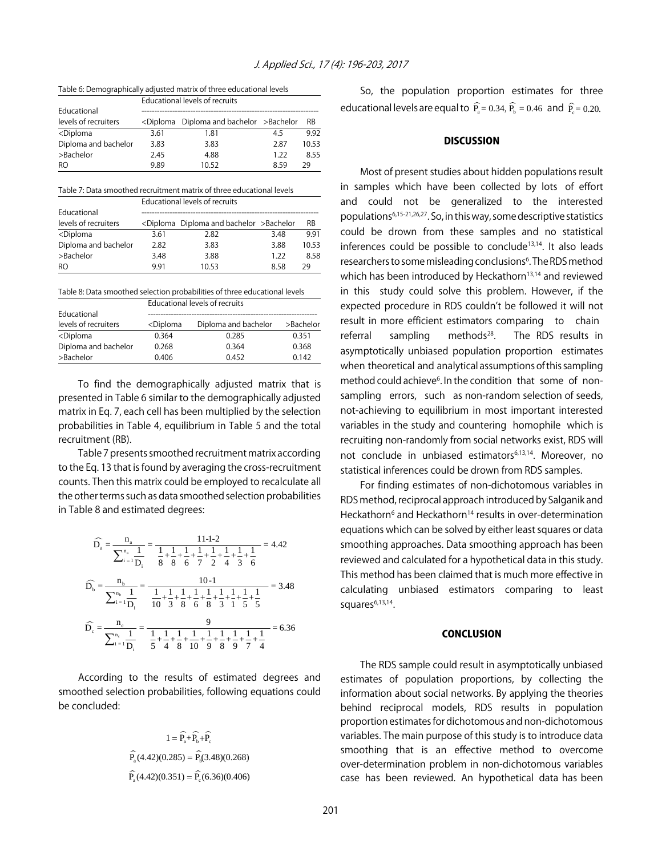Table 6: Demographically adjusted matrix of three educational levels

|                                                                                | Educational levels of recruits |                                                           |      |       |  |
|--------------------------------------------------------------------------------|--------------------------------|-----------------------------------------------------------|------|-------|--|
| Educational                                                                    |                                |                                                           |      |       |  |
| levels of recruiters                                                           |                                | <diploma and="" bachelor="" diploma="">Bachelor</diploma> |      | RB    |  |
| <diploma< td=""><td>3.61</td><td>1.81</td><td>4.5</td><td>9.92</td></diploma<> | 3.61                           | 1.81                                                      | 4.5  | 9.92  |  |
| Diploma and bachelor                                                           | 3.83                           | 3.83                                                      | 2.87 | 10.53 |  |
| >Bachelor                                                                      | 2.45                           | 4.88                                                      | 1.22 | 8.55  |  |
| RO.                                                                            | 9.89                           | 10.52                                                     | 859  | 29    |  |

Table 7: Data smoothed recruitment matrix of three educational levels

|                                                                                 | Educational levels of recruits |                                                           |      |           |  |  |
|---------------------------------------------------------------------------------|--------------------------------|-----------------------------------------------------------|------|-----------|--|--|
| Educational                                                                     |                                |                                                           |      |           |  |  |
| levels of recruiters                                                            |                                | <diploma and="" bachelor="" diploma="">Bachelor</diploma> |      | <b>RB</b> |  |  |
| <diploma< td=""><td>3.61</td><td>2.82</td><td>3.48</td><td>9.91</td></diploma<> | 3.61                           | 2.82                                                      | 3.48 | 9.91      |  |  |
| Diploma and bachelor                                                            | 2.82                           | 3.83                                                      | 3.88 | 10.53     |  |  |
| >Bachelor                                                                       | 3.48                           | 3.88                                                      | 1.22 | 8.58      |  |  |
| RO.                                                                             | 9.91                           | 10.53                                                     | 8.58 | 29        |  |  |

Table 8: Data smoothed selection probabilities of three educational levels

|                                                                       | Educational levels of recruits                                       |                      |       |  |  |
|-----------------------------------------------------------------------|----------------------------------------------------------------------|----------------------|-------|--|--|
| Educational                                                           |                                                                      |                      |       |  |  |
| levels of recruiters                                                  | <diploma< td=""><td colspan="2">Diploma and bachelor</td></diploma<> | Diploma and bachelor |       |  |  |
| <diploma< td=""><td>0.364</td><td>0.285</td><td>0.351</td></diploma<> | 0.364                                                                | 0.285                | 0.351 |  |  |
| Diploma and bachelor                                                  | 0.268                                                                | 0.364                | 0.368 |  |  |
| >Bachelor                                                             | 0.406                                                                | 0.452                | 0.142 |  |  |

To find the demographically adjusted matrix that is presented in Table 6 similar to the demographically adjusted matrix in Eq. 7, each cell has been multiplied by the selection probabilities in Table 4, equilibrium in Table 5 and the total recruitment (RB).

Table 7 presents smoothed recruitment matrix according to the Eq. 13 that is found by averaging the cross-recruitment counts. Then this matrix could be employed to recalculate all the other terms such as data smoothed selection probabilities in Table 8 and estimated degrees:

$$
\widehat{D}_{a} = \frac{n_{a}}{\sum_{i=1}^{n_{a}} \frac{1}{D_{i}}} = \frac{11\text{-}1\text{-}2}{\frac{1}{8} + \frac{1}{8} + \frac{1}{6} + \frac{1}{7} + \frac{1}{2} + \frac{1}{4} + \frac{1}{3} + \frac{1}{6}} = 4.42
$$
\n
$$
\widehat{D}_{b} = \frac{n_{b}}{\sum_{i=1}^{n_{b}} \frac{1}{D_{i}}} = \frac{10\text{-}1}{\frac{1}{10} + \frac{1}{3} + \frac{1}{8} + \frac{1}{6} + \frac{1}{8} + \frac{1}{3} + \frac{1}{1} + \frac{1}{5} + \frac{1}{5}} = 3.48
$$
\n
$$
\widehat{D}_{c} = \frac{n_{c}}{\sum_{i=1}^{n_{c}} \frac{1}{D_{i}}} = \frac{9}{\frac{1}{5} + \frac{1}{4} + \frac{1}{8} + \frac{1}{10} + \frac{1}{9} + \frac{1}{8} + \frac{1}{9} + \frac{1}{7} + \frac{1}{4}} = 6.36
$$

According to the results of estimated degrees and smoothed selection probabilities, following equations could be concluded:

$$
1 = \widehat{P}_a + \widehat{P}_b + \widehat{P}_c
$$
  

$$
\widehat{P}_a(4.42)(0.285) = \widehat{P}_b(3.48)(0.268)
$$
  

$$
\widehat{P}_a(4.42)(0.351) = \widehat{P}_c(6.36)(0.406)
$$

So, the population proportion estimates for three educational levels are equal to  $\widehat{P}_e = 0.34$ ,  $\widehat{P}_h = 0.46$  and  $\widehat{P}_e = 0.20$ .

#### **DISCUSSION**

Most of present studies about hidden populations result in samples which have been collected by lots of effort and could not be generalized to the interested populations6,15-21,26,27. So, in this way, some descriptive statistics could be drown from these samples and no statistical inferences could be possible to conclude<sup>13,14</sup>. It also leads researchers to some misleading conclusions<sup>6</sup>. The RDS method which has been introduced by Heckathorn<sup>13,14</sup> and reviewed in this study could solve this problem. However, if the expected procedure in RDS couldn't be followed it will not result in more efficient estimators comparing to chain referral sampling methods $28$ . The RDS results in asymptotically unbiased population proportion estimates when theoretical and analytical assumptions of this sampling method could achieve<sup>6</sup>. In the condition that some of nonsampling errors, such as non-random selection of seeds, not-achieving to equilibrium in most important interested variables in the study and countering homophile which is recruiting non-randomly from social networks exist, RDS will not conclude in unbiased estimators<sup>6,13,14</sup>. Moreover, no statistical inferences could be drown from RDS samples.

For finding estimates of non-dichotomous variables in RDS method, reciprocal approach introduced by Salganik and Heckathorn<sup>6</sup> and Heckathorn<sup>14</sup> results in over-determination equations which can be solved by either least squares or data smoothing approaches. Data smoothing approach has been reviewed and calculated for a hypothetical data in this study. This method has been claimed that is much more effective in calculating unbiased estimators comparing to least squares $6,13,14$ .

#### **CONCLUSION**

The RDS sample could result in asymptotically unbiased estimates of population proportions, by collecting the information about social networks. By applying the theories behind reciprocal models, RDS results in population proportion estimates for dichotomous and non-dichotomous variables. The main purpose of this study is to introduce data smoothing that is an effective method to overcome over-determination problem in non-dichotomous variables case has been reviewed. An hypothetical data has been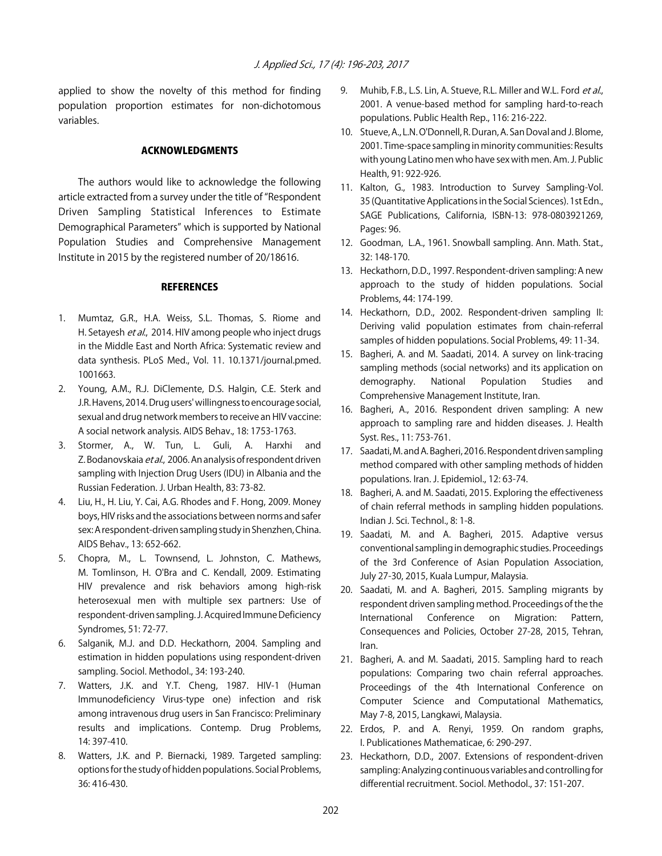applied to show the novelty of this method for finding population proportion estimates for non-dichotomous variables.

#### ACKNOWLEDGMENTS

The authors would like to acknowledge the following article extracted from a survey under the title of "Respondent Driven Sampling Statistical Inferences to Estimate Demographical Parameters" which is supported by National Population Studies and Comprehensive Management Institute in 2015 by the registered number of 20/18616.

#### **REFERENCES**

- 1. Mumtaz, G.R., H.A. Weiss, S.L. Thomas, S. Riome and H. Setayesh et al., 2014. HIV among people who inject drugs in the Middle East and North Africa: Systematic review and data synthesis. PLoS Med., Vol. 11. 10.1371/journal.pmed. 1001663.
- 2. Young, A.M., R.J. DiClemente, D.S. Halgin, C.E. Sterk and J.R. Havens, 2014. Drug users' willingness to encourage social, sexual and drug network members to receive an HIV vaccine: A social network analysis. AIDS Behav., 18: 1753-1763.
- 3. Stormer, A., W. Tun, L. Guli, A. Harxhi and Z. Bodanovskaia et al., 2006. An analysis of respondent driven sampling with Injection Drug Users (IDU) in Albania and the Russian Federation. J. Urban Health, 83: 73-82.
- 4. Liu, H., H. Liu, Y. Cai, A.G. Rhodes and F. Hong, 2009. Money boys, HIV risks and the associations between norms and safer sex: A respondent-driven sampling study in Shenzhen, China. AIDS Behav., 13: 652-662.
- 5. Chopra, M., L. Townsend, L. Johnston, C. Mathews, M. Tomlinson, H. O'Bra and C. Kendall, 2009. Estimating HIV prevalence and risk behaviors among high-risk heterosexual men with multiple sex partners: Use of respondent-driven sampling. J. Acquired Immune Deficiency Syndromes, 51: 72-77.
- 6. Salganik, M.J. and D.D. Heckathorn, 2004. Sampling and estimation in hidden populations using respondent-driven sampling. Sociol. Methodol., 34: 193-240.
- 7. Watters, J.K. and Y.T. Cheng, 1987. HIV-1 (Human Immunodeficiency Virus-type one) infection and risk among intravenous drug users in San Francisco: Preliminary results and implications. Contemp. Drug Problems, 14: 397-410.
- 8. Watters, J.K. and P. Biernacki, 1989. Targeted sampling: options for the study of hidden populations. Social Problems, 36: 416-430.
- 9. Muhib, F.B., L.S. Lin, A. Stueve, R.L. Miller and W.L. Ford et al., 2001. A venue-based method for sampling hard-to-reach populations. Public Health Rep., 116: 216-222.
- 10. Stueve, A., L.N. O'Donnell, R. Duran, A. San Doval and J. Blome, 2001. Time-space sampling in minority communities: Results with young Latino men who have sex with men. Am. J. Public Health, 91: 922-926.
- 11. Kalton, G., 1983. Introduction to Survey Sampling-Vol. 35 (Quantitative Applications in the Social Sciences). 1st Edn., SAGE Publications, California, ISBN-13: 978-0803921269, Pages: 96.
- 12. Goodman, L.A., 1961. Snowball sampling. Ann. Math. Stat., 32: 148-170.
- 13. Heckathorn, D.D., 1997. Respondent-driven sampling: A new approach to the study of hidden populations. Social Problems, 44: 174-199.
- 14. Heckathorn, D.D., 2002. Respondent-driven sampling II: Deriving valid population estimates from chain-referral samples of hidden populations. Social Problems, 49: 11-34.
- 15. Bagheri, A. and M. Saadati, 2014. A survey on link-tracing sampling methods (social networks) and its application on demography. National Population Studies and Comprehensive Management Institute, Iran.
- 16. Bagheri, A., 2016. Respondent driven sampling: A new approach to sampling rare and hidden diseases. J. Health Syst. Res., 11: 753-761.
- 17. Saadati, M. and A. Bagheri, 2016. Respondent driven sampling method compared with other sampling methods of hidden populations. Iran. J. Epidemiol., 12: 63-74.
- 18. Bagheri, A. and M. Saadati, 2015. Exploring the effectiveness of chain referral methods in sampling hidden populations. Indian J. Sci. Technol., 8: 1-8.
- 19. Saadati, M. and A. Bagheri, 2015. Adaptive versus conventional sampling in demographic studies. Proceedings of the 3rd Conference of Asian Population Association, July 27-30, 2015, Kuala Lumpur, Malaysia.
- 20. Saadati, M. and A. Bagheri, 2015. Sampling migrants by respondent driven sampling method. Proceedings of the the International Conference on Migration: Pattern, Consequences and Policies, October 27-28, 2015, Tehran, Iran.
- 21. Bagheri, A. and M. Saadati, 2015. Sampling hard to reach populations: Comparing two chain referral approaches. Proceedings of the 4th International Conference on Computer Science and Computational Mathematics, May 7-8, 2015, Langkawi, Malaysia.
- 22. Erdos, P. and A. Renyi, 1959. On random graphs, I. Publicationes Mathematicae, 6: 290-297.
- 23. Heckathorn, D.D., 2007. Extensions of respondent-driven sampling: Analyzing continuous variables and controlling for differential recruitment. Sociol. Methodol., 37: 151-207.